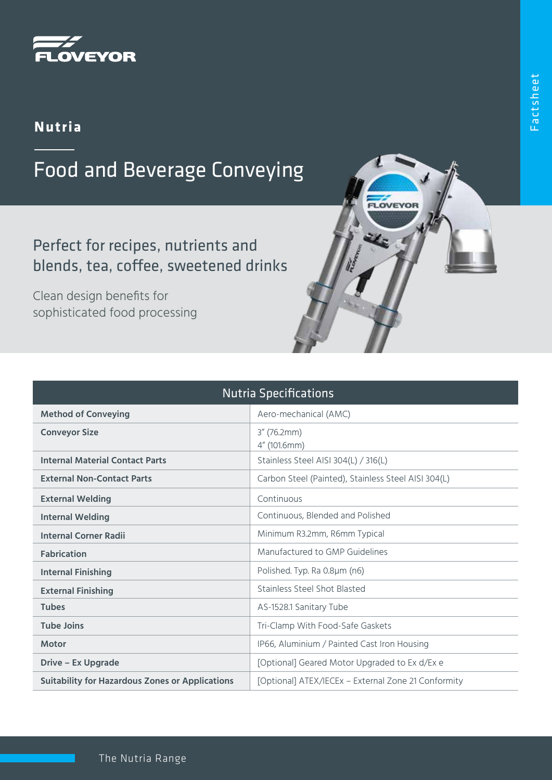

## **Nutria**

## Food and Beverage Conveying

Perfect for recipes, nutrients and blends, tea, coffee, sweetened drinks

Clean design benefits for sophisticated food processing

| <b>Nutria Specifications</b>                           |                                                     |
|--------------------------------------------------------|-----------------------------------------------------|
| <b>Method of Conveying</b>                             | Aero-mechanical (AMC)                               |
| <b>Conveyor Size</b>                                   | $3''$ (76.2mm)<br>4" (101.6mm)                      |
| <b>Internal Material Contact Parts</b>                 | Stainless Steel AISI 304(L) / 316(L)                |
| <b>External Non-Contact Parts</b>                      | Carbon Steel (Painted), Stainless Steel AISI 304(L) |
| <b>External Welding</b>                                | Continuous                                          |
| <b>Internal Welding</b>                                | Continuous, Blended and Polished                    |
| <b>Internal Corner Radii</b>                           | Minimum R3.2mm, R6mm Typical                        |
| <b>Fabrication</b>                                     | Manufactured to GMP Guidelines                      |
| <b>Internal Finishing</b>                              | Polished. Typ. Ra 0.8µm (n6)                        |
| <b>External Finishing</b>                              | Stainless Steel Shot Blasted                        |
| <b>Tubes</b>                                           | AS-1528.1 Sanitary Tube                             |
| <b>Tube Joins</b>                                      | Tri-Clamp With Food-Safe Gaskets                    |
| <b>Motor</b>                                           | IP66, Aluminium / Painted Cast Iron Housing         |
| Drive – Ex Upgrade                                     | [Optional] Geared Motor Upgraded to Ex d/Ex e       |
| <b>Suitability for Hazardous Zones or Applications</b> | [Optional] ATEX/IECEx - External Zone 21 Conformity |

**OVEYO**